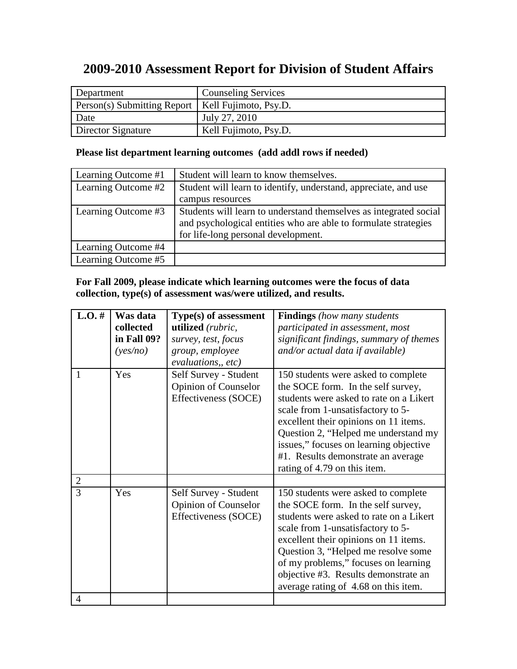# **2009-2010 Assessment Report for Division of Student Affairs**

| Department                                          | <b>Counseling Services</b> |
|-----------------------------------------------------|----------------------------|
| Person(s) Submitting Report   Kell Fujimoto, Psy.D. |                            |
| Date                                                | July 27, 2010              |
| Director Signature                                  | Kell Fujimoto, Psy.D.      |

# **Please list department learning outcomes (add addl rows if needed)**

| Learning Outcome #1 | Student will learn to know themselves.                            |
|---------------------|-------------------------------------------------------------------|
| Learning Outcome #2 | Student will learn to identify, understand, appreciate, and use   |
|                     | campus resources                                                  |
| Learning Outcome #3 | Students will learn to understand themselves as integrated social |
|                     | and psychological entities who are able to formulate strategies   |
|                     | for life-long personal development.                               |
| Learning Outcome #4 |                                                                   |
| Learning Outcome #5 |                                                                   |

## **For Fall 2009, please indicate which learning outcomes were the focus of data collection, type(s) of assessment was/were utilized, and results.**

|                                       | Was data<br>collected<br>in Fall 09?<br>(yes/no) | Type(s) of assessment<br>utilized (rubric,<br>survey, test, focus<br>group, employee<br>evaluations,, etc) | <b>Findings</b> (how many students<br>participated in assessment, most<br>significant findings, summary of themes<br>and/or actual data if available)                                                                                                                                                                                                             |
|---------------------------------------|--------------------------------------------------|------------------------------------------------------------------------------------------------------------|-------------------------------------------------------------------------------------------------------------------------------------------------------------------------------------------------------------------------------------------------------------------------------------------------------------------------------------------------------------------|
| 1                                     | Yes                                              | Self Survey - Student<br><b>Opinion of Counselor</b><br>Effectiveness (SOCE)                               | 150 students were asked to complete<br>the SOCE form. In the self survey,<br>students were asked to rate on a Likert<br>scale from 1-unsatisfactory to 5-<br>excellent their opinions on 11 items.<br>Question 2, "Helped me understand my<br>issues," focuses on learning objective<br>#1. Results demonstrate an average<br>rating of 4.79 on this item.        |
| $\overline{2}$<br>3<br>$\overline{4}$ | Yes                                              | Self Survey - Student<br><b>Opinion of Counselor</b><br>Effectiveness (SOCE)                               | 150 students were asked to complete<br>the SOCE form. In the self survey,<br>students were asked to rate on a Likert<br>scale from 1-unsatisfactory to 5-<br>excellent their opinions on 11 items.<br>Question 3, "Helped me resolve some<br>of my problems," focuses on learning<br>objective #3. Results demonstrate an<br>average rating of 4.68 on this item. |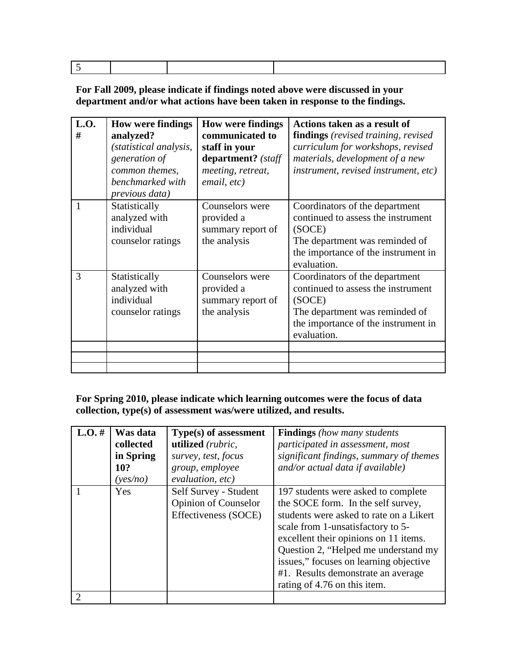|--|

**For Fall 2009, please indicate if findings noted above were discussed in your department and/or what actions have been taken in response to the findings.**

| L.O.<br># | <b>How were findings</b><br>analyzed?<br>(statistical analysis,<br>generation of<br>common themes,<br>benchmarked with<br>previous data) | <b>How were findings</b><br>communicated to<br>staff in your<br>department? (staff<br>meeting, retreat,<br>email, etc) | Actions taken as a result of<br><b>findings</b> (revised training, revised)<br>curriculum for workshops, revised<br>materials, development of a new<br><i>instrument, revised instrument, etc)</i> |
|-----------|------------------------------------------------------------------------------------------------------------------------------------------|------------------------------------------------------------------------------------------------------------------------|----------------------------------------------------------------------------------------------------------------------------------------------------------------------------------------------------|
| 1         | Statistically<br>analyzed with<br>individual<br>counselor ratings                                                                        | Counselors were<br>provided a<br>summary report of<br>the analysis                                                     | Coordinators of the department<br>continued to assess the instrument<br>(SOCE)<br>The department was reminded of<br>the importance of the instrument in<br>evaluation.                             |
| 3         | Statistically<br>analyzed with<br>individual<br>counselor ratings                                                                        | Counselors were<br>provided a<br>summary report of<br>the analysis                                                     | Coordinators of the department<br>continued to assess the instrument<br>(SOCE)<br>The department was reminded of<br>the importance of the instrument in<br>evaluation.                             |
|           |                                                                                                                                          |                                                                                                                        |                                                                                                                                                                                                    |

**For Spring 2010, please indicate which learning outcomes were the focus of data collection, type(s) of assessment was/were utilized, and results.**

| $L.O.$ # | Was data<br>collected<br>in Spring<br>10?<br>(yes/no) | Type(s) of assessment<br>utilized (rubric,<br>survey, test, focus<br>group, employee<br>evaluation, etc) | <b>Findings</b> (how many students<br>participated in assessment, most<br>significant findings, summary of themes<br>and/or actual data if available)                                                                                                                                                                                                      |
|----------|-------------------------------------------------------|----------------------------------------------------------------------------------------------------------|------------------------------------------------------------------------------------------------------------------------------------------------------------------------------------------------------------------------------------------------------------------------------------------------------------------------------------------------------------|
|          | <b>Yes</b>                                            | Self Survey - Student<br><b>Opinion of Counselor</b><br>Effectiveness (SOCE)                             | 197 students were asked to complete<br>the SOCE form. In the self survey,<br>students were asked to rate on a Likert<br>scale from 1-unsatisfactory to 5-<br>excellent their opinions on 11 items.<br>Question 2, "Helped me understand my<br>issues," focuses on learning objective<br>#1. Results demonstrate an average<br>rating of 4.76 on this item. |
|          |                                                       |                                                                                                          |                                                                                                                                                                                                                                                                                                                                                            |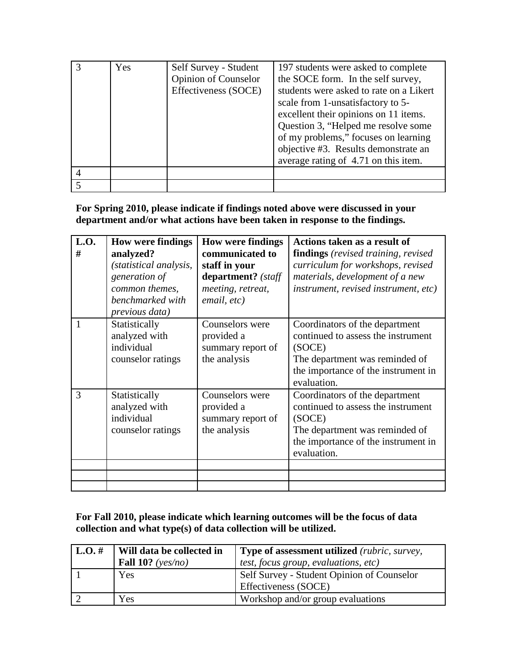| Yes | Self Survey - Student<br><b>Opinion of Counselor</b><br>Effectiveness (SOCE) | 197 students were asked to complete<br>the SOCE form. In the self survey,<br>students were asked to rate on a Likert<br>scale from 1-unsatisfactory to 5-<br>excellent their opinions on 11 items.<br>Question 3, "Helped me resolve some<br>of my problems," focuses on learning<br>objective #3. Results demonstrate an<br>average rating of 4.71 on this item. |
|-----|------------------------------------------------------------------------------|-------------------------------------------------------------------------------------------------------------------------------------------------------------------------------------------------------------------------------------------------------------------------------------------------------------------------------------------------------------------|
|     |                                                                              |                                                                                                                                                                                                                                                                                                                                                                   |
|     |                                                                              |                                                                                                                                                                                                                                                                                                                                                                   |

## **For Spring 2010, please indicate if findings noted above were discussed in your department and/or what actions have been taken in response to the findings.**

| L.O.<br># | <b>How were findings</b><br>analyzed?<br>(statistical analysis,<br>generation of<br>common themes,<br>benchmarked with<br>previous data) | <b>How were findings</b><br>communicated to<br>staff in your<br>department? (staff<br>meeting, retreat,<br>email, etc) | Actions taken as a result of<br><b>findings</b> (revised training, revised)<br>curriculum for workshops, revised<br>materials, development of a new<br>instrument, revised instrument, etc) |
|-----------|------------------------------------------------------------------------------------------------------------------------------------------|------------------------------------------------------------------------------------------------------------------------|---------------------------------------------------------------------------------------------------------------------------------------------------------------------------------------------|
| 1         | Statistically<br>analyzed with<br>individual<br>counselor ratings                                                                        | Counselors were<br>provided a<br>summary report of<br>the analysis                                                     | Coordinators of the department<br>continued to assess the instrument<br>(SOCE)<br>The department was reminded of<br>the importance of the instrument in<br>evaluation.                      |
| 3         | Statistically<br>analyzed with<br>individual<br>counselor ratings                                                                        | Counselors were<br>provided a<br>summary report of<br>the analysis                                                     | Coordinators of the department<br>continued to assess the instrument<br>(SOCE)<br>The department was reminded of<br>the importance of the instrument in<br>evaluation.                      |
|           |                                                                                                                                          |                                                                                                                        |                                                                                                                                                                                             |
|           |                                                                                                                                          |                                                                                                                        |                                                                                                                                                                                             |
|           |                                                                                                                                          |                                                                                                                        |                                                                                                                                                                                             |

**For Fall 2010, please indicate which learning outcomes will be the focus of data collection and what type(s) of data collection will be utilized.** 

| $L.O.$ # | Will data be collected in | <b>Type of assessment utilized</b> (rubric, survey,                |
|----------|---------------------------|--------------------------------------------------------------------|
|          | Fall 10? ( $ves/no$ )     | test, focus group, evaluations, etc)                               |
|          | Yes                       | Self Survey - Student Opinion of Counselor<br>Effectiveness (SOCE) |
|          | Yes                       | Workshop and/or group evaluations                                  |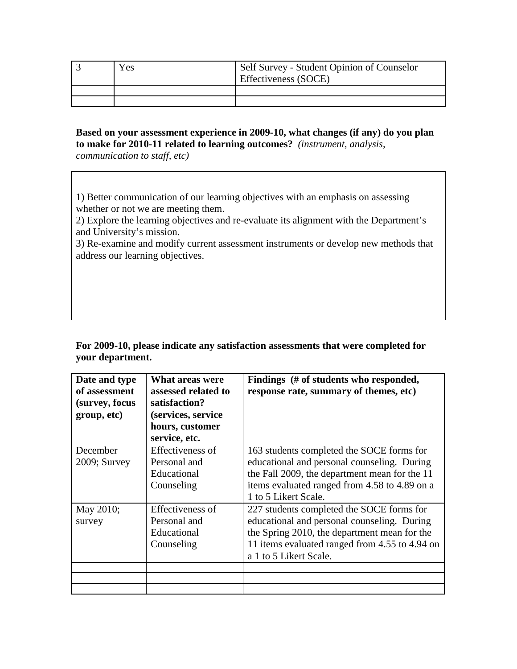| ces ) | Self Survey - Student Opinion of Counselor<br>Effectiveness (SOCE) |
|-------|--------------------------------------------------------------------|
|       |                                                                    |
|       |                                                                    |

### **Based on your assessment experience in 2009-10, what changes (if any) do you plan to make for 2010-11 related to learning outcomes?** *(instrument, analysis,*

*communication to staff, etc)*

1) Better communication of our learning objectives with an emphasis on assessing whether or not we are meeting them.

2) Explore the learning objectives and re-evaluate its alignment with the Department's and University's mission.

3) Re-examine and modify current assessment instruments or develop new methods that address our learning objectives.

**For 2009-10, please indicate any satisfaction assessments that were completed for your department.** 

| Date and type<br>of assessment<br>(survey, focus<br>group, etc) | What areas were<br>assessed related to<br>satisfaction?<br>(services, service<br>hours, customer<br>service, etc. | Findings (# of students who responded,<br>response rate, summary of themes, etc)                                                                                                                                     |
|-----------------------------------------------------------------|-------------------------------------------------------------------------------------------------------------------|----------------------------------------------------------------------------------------------------------------------------------------------------------------------------------------------------------------------|
| December<br>$2009$ ; Survey                                     | Effectiveness of<br>Personal and<br>Educational<br>Counseling                                                     | 163 students completed the SOCE forms for<br>educational and personal counseling. During<br>the Fall 2009, the department mean for the 11<br>items evaluated ranged from 4.58 to 4.89 on a<br>1 to 5 Likert Scale.   |
| May 2010;<br>survey                                             | Effectiveness of<br>Personal and<br>Educational<br>Counseling                                                     | 227 students completed the SOCE forms for<br>educational and personal counseling. During<br>the Spring 2010, the department mean for the<br>11 items evaluated ranged from 4.55 to 4.94 on<br>a 1 to 5 Likert Scale. |